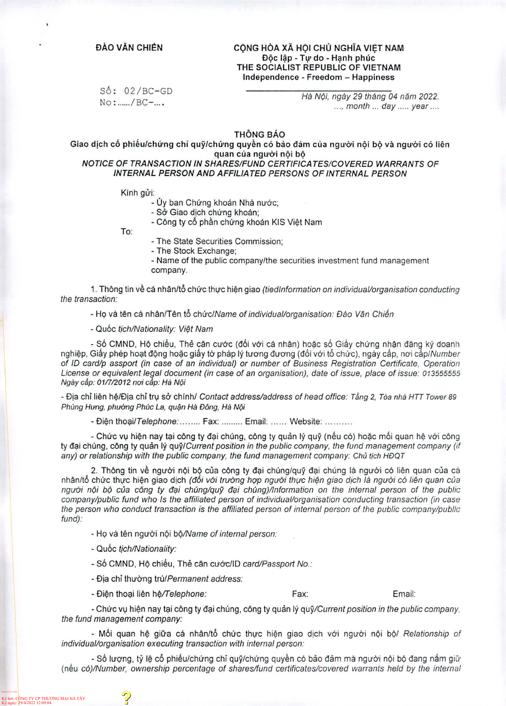## ĐÀO VĂN CHIẾN CỘNG HÒA XÃ HỘI CHỦ NGHĨA VIỆT NAM Độc lập - Tự do - Hạnh phúc THE SOCIALIST REPUBLIC OF VIETNAM Independence - Freedom - Happiness

 $S6: 02/BC-GD$ No:....../BC-....

*Ha N6i, ngay 29 thang 04 nam 2022.* ..., month ... day ..... year ....

THÔNG BÁO

Giao dịch cổ phiếu/chứng chỉ quỹ/chứng quyền có bảo đảm của người nội bộ và người có liên quan của người nội bộ *NOTICE OF TRANSACTION IN SHARES/FUND CERTIFICATES/COVERED WARRANTS OF*

*INTERNAL PERSON AND AFFILIATED PERSONS OF INTERNAL PERSON*

Kính gửi:

- Ủy ban Chứng khoán Nhà nước;

- Sở Giao dịch chứng khoán;

- Công ty cổ phần chứng khoán KIS Việt Nam

To:

- The State Securities Commission;

- The Stock Exchange;

- Name of the public company/the securities investment fund management company.

1. Thong tin ve ca nhan/to choc thoc hien giao *(tiedlnformation on individual/organisation conducting the transaction:*

*-* Ho va ten ca nhan/Ten to choc/A/ame *ofindividual/organisation: Dao Van Chien*

- Quoc *tich/Nationality: Viet Nam*

- Số CMND, Hộ chiếu, Thẻ căn cước (đối với cá nhân) hoặc số Giấy chứng nhân đăng ký doanh nghiệp, Giấy phép hoạt động hoặc giấy tờ pháp lý tương đương (đối với tổ chức), ngày cấp, nơi cấp/Number *of ID card/p assport (in case of an individual) or number of Business Registration Certificate, Operation License or equivalent legal document (in case of an organisation), date ofissue, place ofissue: 013555555 Ngay cap: 01/7/2012 noi cap: Ha Npi*

*-* Bia chi lien hp/Bia chi try so chinh/ *Contact address/address of head office: Tang 2, Toa nha HTT Tower 89 Phung Hong, phoong Phuc La, qu\$n Ha Dong, Ha Npi*

- Điện thoại/*Telephone*: ........ Fax: ........ Email: ...... Website

- Chức vụ hiện nay tại công ty đại chúng, công ty quản lý quỹ (nếu có) hoặc mối quan hệ với công ty dai chung, cong ty quan ly *quy/Current position in the public company, the fund management company (if any) or relationship with the public company, the fund management company: Chu tich HDQT*

2. Thông tin về người nội bộ của công ty đại chúng/quỹ đại chúng là người có liên quan của cá nhan/to choc thoc hien giao dich *(ddi vdi truung hop ngodi thoc hien giao djch la ngodi cd lien quan cua ngodi noi bo cua cong ty dai chung/quy dai chung)/lnformation on the internal person of the public company/public fund who Is the affiliated person ofindividual/organisation conducting transaction (in case the person who conduct transaction is the affiliated person ofinternal person of the public company/public fund):*

- Ho va ten ngodi noi *bd/Name ofinternal person:*

*-* Quoc *tich/Nationality:*

- Số CMND, Hộ chiếu, Thẻ căn cước/ID *card/Passport No.:* 

*-* Bia chi thodng *VulPermanent address:*

*-* Bien thoai lien hp/T*elephone:*

Fax: Email:

*-* Choc vy hien nay tai cong ty dai chung, cong ty quan ly *quy/Current position in the public company, the fund management company:*

*-* Moi quan he gida ca nhan/to choc thoc hipn giao dich vdi ngodi noi bo/ *Relationship of individual/organisation executing transaction with internal person:*

- Số lượng, tỷ lệ cổ phiếu/chứng chỉ quỹ/chứng quyền có bảo đảm mà người nội bộ đang nắm giữ (neu *cd)/Number, ownership percentage of shares/fund certificates/covered warrants held by the internal*

Ký bởi: CONG TY CP THƯƠNG MẠI HA TAY<br>Ký ngày: 29/4/2022 12:09:04